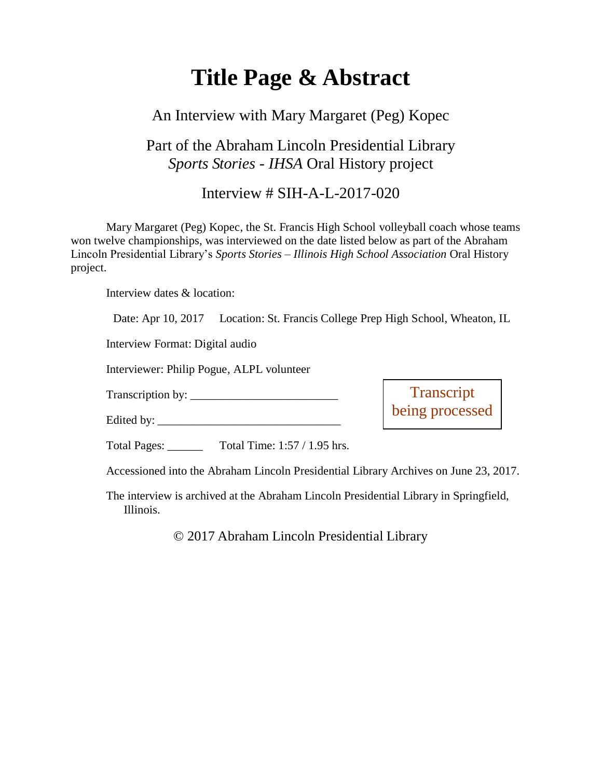# **Title Page & Abstract**

## An Interview with Mary Margaret (Peg) Kopec

## Part of the Abraham Lincoln Presidential Library *Sports Stories - IHSA* Oral History project

### Interview # SIH-A-L-2017-020

Mary Margaret (Peg) Kopec, the St. Francis High School volleyball coach whose teams won twelve championships, was interviewed on the date listed below as part of the Abraham Lincoln Presidential Library's *Sports Stories – Illinois High School Association* Oral History project.

Interview dates & location:

Date: Apr 10, 2017 Location: St. Francis College Prep High School, Wheaton, IL

Interview Format: Digital audio

Interviewer: Philip Pogue, ALPL volunteer

Transcription by: \_\_\_\_\_\_\_\_\_\_\_\_\_\_\_\_\_\_\_\_\_\_\_\_\_

Edited by:

**Transcript** being processed

Total Pages: \_\_\_\_\_\_ Total Time: 1:57 / 1.95 hrs.

Accessioned into the Abraham Lincoln Presidential Library Archives on June 23, 2017.

The interview is archived at the Abraham Lincoln Presidential Library in Springfield, Illinois.

© 2017 Abraham Lincoln Presidential Library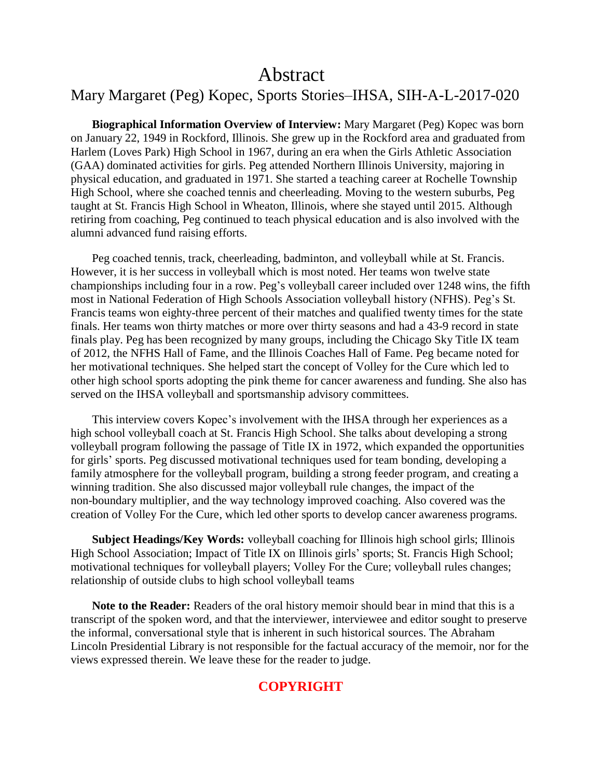## Abstract

### Mary Margaret (Peg) Kopec, Sports Stories–IHSA, SIH-A-L-2017-020

**Biographical Information Overview of Interview:** Mary Margaret (Peg) Kopec was born on January 22, 1949 in Rockford, Illinois. She grew up in the Rockford area and graduated from Harlem (Loves Park) High School in 1967, during an era when the Girls Athletic Association (GAA) dominated activities for girls. Peg attended Northern Illinois University, majoring in physical education, and graduated in 1971. She started a teaching career at Rochelle Township High School, where she coached tennis and cheerleading. Moving to the western suburbs, Peg taught at St. Francis High School in Wheaton, Illinois, where she stayed until 2015. Although retiring from coaching, Peg continued to teach physical education and is also involved with the alumni advanced fund raising efforts.

Peg coached tennis, track, cheerleading, badminton, and volleyball while at St. Francis. However, it is her success in volleyball which is most noted. Her teams won twelve state championships including four in a row. Peg's volleyball career included over 1248 wins, the fifth most in National Federation of High Schools Association volleyball history (NFHS). Peg's St. Francis teams won eighty-three percent of their matches and qualified twenty times for the state finals. Her teams won thirty matches or more over thirty seasons and had a 43-9 record in state finals play. Peg has been recognized by many groups, including the Chicago Sky Title IX team of 2012, the NFHS Hall of Fame, and the Illinois Coaches Hall of Fame. Peg became noted for her motivational techniques. She helped start the concept of Volley for the Cure which led to other high school sports adopting the pink theme for cancer awareness and funding. She also has served on the IHSA volleyball and sportsmanship advisory committees.

This interview covers Kopec's involvement with the IHSA through her experiences as a high school volleyball coach at St. Francis High School. She talks about developing a strong volleyball program following the passage of Title IX in 1972, which expanded the opportunities for girls' sports. Peg discussed motivational techniques used for team bonding, developing a family atmosphere for the volleyball program, building a strong feeder program, and creating a winning tradition. She also discussed major volleyball rule changes, the impact of the non-boundary multiplier, and the way technology improved coaching. Also covered was the creation of Volley For the Cure, which led other sports to develop cancer awareness programs.

**Subject Headings/Key Words:** volleyball coaching for Illinois high school girls; Illinois High School Association; Impact of Title IX on Illinois girls' sports; St. Francis High School; motivational techniques for volleyball players; Volley For the Cure; volleyball rules changes; relationship of outside clubs to high school volleyball teams

**Note to the Reader:** Readers of the oral history memoir should bear in mind that this is a transcript of the spoken word, and that the interviewer, interviewee and editor sought to preserve the informal, conversational style that is inherent in such historical sources. The Abraham Lincoln Presidential Library is not responsible for the factual accuracy of the memoir, nor for the views expressed therein. We leave these for the reader to judge.

#### **COPYRIGHT**